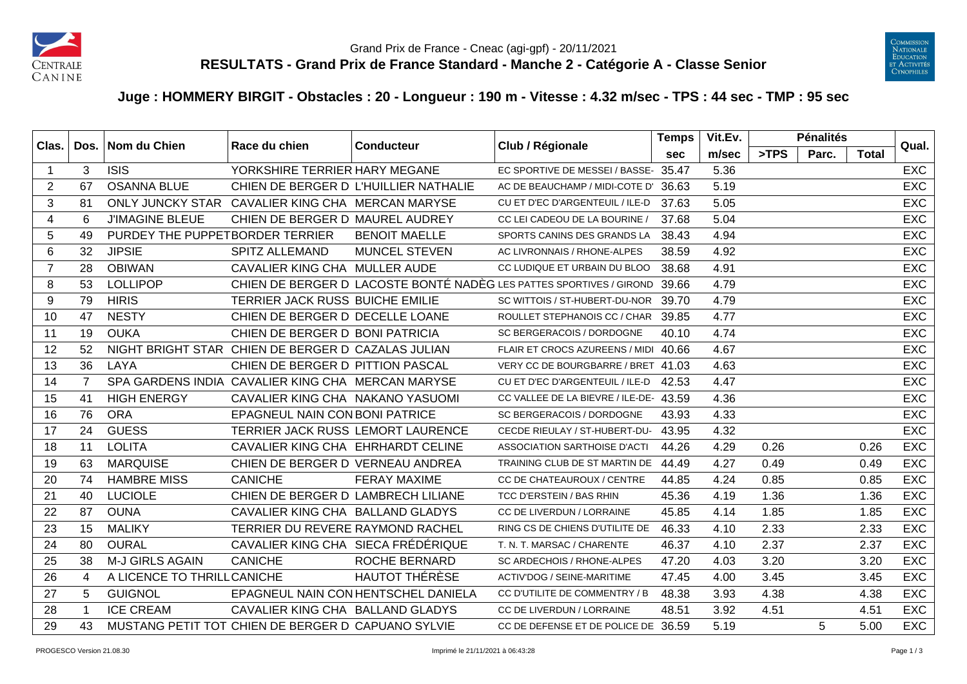



## **Juge : HOMMERY BIRGIT - Obstacles : 20 - Longueur : 190 m - Vitesse : 4.32 m/sec - TPS : 44 sec - TMP : 95 sec**

| Clas. |              | Dos. Nom du Chien               | Race du chien                                      | Club / Régionale<br><b>Conducteur</b> |                                                                     | <b>Temps</b> | Vit.Ev. |      | <b>Pénalités</b> |       | Qual.      |
|-------|--------------|---------------------------------|----------------------------------------------------|---------------------------------------|---------------------------------------------------------------------|--------------|---------|------|------------------|-------|------------|
|       |              |                                 |                                                    |                                       |                                                                     | <b>sec</b>   | m/sec   | >TPS | Parc.            | Total |            |
| -1    | 3            | <b>ISIS</b>                     | YORKSHIRE TERRIER HARY MEGANE                      |                                       | EC SPORTIVE DE MESSEI / BASSE- 35.47                                |              | 5.36    |      |                  |       | <b>EXC</b> |
| 2     | 67           | <b>OSANNA BLUE</b>              |                                                    | CHIEN DE BERGER D L'HUILLIER NATHALIE | AC DE BEAUCHAMP / MIDI-COTE D' 36.63                                |              | 5.19    |      |                  |       | <b>EXC</b> |
| 3     | 81           |                                 | ONLY JUNCKY STAR CAVALIER KING CHA MERCAN MARYSE   |                                       | CU ET D'EC D'ARGENTEUIL / ILE-D                                     | 37.63        | 5.05    |      |                  |       | <b>EXC</b> |
| 4     | 6            | <b>J'IMAGINE BLEUE</b>          | CHIEN DE BERGER D MAUREL AUDREY                    |                                       | CC LEI CADEOU DE LA BOURINE /                                       | 37.68        | 5.04    |      |                  |       | <b>EXC</b> |
| 5     | 49           | PURDEY THE PUPPETBORDER TERRIER |                                                    | <b>BENOIT MAELLE</b>                  | SPORTS CANINS DES GRANDS LA                                         | 38.43        | 4.94    |      |                  |       | <b>EXC</b> |
| 6     | 32           | <b>JIPSIE</b>                   | <b>SPITZ ALLEMAND</b>                              | <b>MUNCEL STEVEN</b>                  | AC LIVRONNAIS / RHONE-ALPES                                         | 38.59        | 4.92    |      |                  |       | <b>EXC</b> |
| 7     | 28           | <b>OBIWAN</b>                   | CAVALIER KING CHA MULLER AUDE                      |                                       | CC LUDIQUE ET URBAIN DU BLOO                                        | 38.68        | 4.91    |      |                  |       | <b>EXC</b> |
| 8     | 53           | <b>LOLLIPOP</b>                 |                                                    |                                       | CHIEN DE BERGER D LACOSTE BONTÉ NADÈG LES PATTES SPORTIVES / GIROND | 39.66        | 4.79    |      |                  |       | <b>EXC</b> |
| 9     | 79           | <b>HIRIS</b>                    | TERRIER JACK RUSS BUICHE EMILIE                    |                                       | SC WITTOIS / ST-HUBERT-DU-NOR 39.70                                 |              | 4.79    |      |                  |       | EXC        |
| 10    | 47           | <b>NESTY</b>                    | CHIEN DE BERGER D DECELLE LOANE                    |                                       | ROULLET STEPHANOIS CC / CHAR 39.85                                  |              | 4.77    |      |                  |       | <b>EXC</b> |
| 11    | 19           | <b>OUKA</b>                     | CHIEN DE BERGER D BONI PATRICIA                    |                                       | SC BERGERACOIS / DORDOGNE                                           | 40.10        | 4.74    |      |                  |       | <b>EXC</b> |
| 12    | 52           |                                 | NIGHT BRIGHT STAR CHIEN DE BERGER D CAZALAS JULIAN |                                       | FLAIR ET CROCS AZUREENS / MIDI 40.66                                |              | 4.67    |      |                  |       | <b>EXC</b> |
| 13    | 36           | LAYA                            | CHIEN DE BERGER D PITTION PASCAL                   |                                       | VERY CC DE BOURGBARRE / BRET 41.03                                  |              | 4.63    |      |                  |       | <b>EXC</b> |
| 14    | 7            |                                 | SPA GARDENS INDIA CAVALIER KING CHA MERCAN MARYSE  |                                       | CU ET D'EC D'ARGENTEUIL / ILE-D                                     | 42.53        | 4.47    |      |                  |       | <b>EXC</b> |
| 15    | 41           | <b>HIGH ENERGY</b>              | CAVALIER KING CHA NAKANO YASUOMI                   |                                       | CC VALLEE DE LA BIEVRE / ILE-DE- 43.59                              |              | 4.36    |      |                  |       | EXC        |
| 16    | 76           | <b>ORA</b>                      | EPAGNEUL NAIN CON BONI PATRICE                     |                                       | SC BERGERACOIS / DORDOGNE                                           | 43.93        | 4.33    |      |                  |       | <b>EXC</b> |
| 17    | 24           | <b>GUESS</b>                    | TERRIER JACK RUSS LEMORT LAURENCE                  |                                       | CECDE RIEULAY / ST-HUBERT-DU-                                       | 43.95        | 4.32    |      |                  |       | <b>EXC</b> |
| 18    | 11           | <b>LOLITA</b>                   | CAVALIER KING CHA EHRHARDT CELINE                  |                                       | ASSOCIATION SARTHOISE D'ACTI                                        | 44.26        | 4.29    | 0.26 |                  | 0.26  | <b>EXC</b> |
| 19    | 63           | <b>MARQUISE</b>                 | CHIEN DE BERGER D VERNEAU ANDREA                   |                                       | TRAINING CLUB DE ST MARTIN DE                                       | 44.49        | 4.27    | 0.49 |                  | 0.49  | <b>EXC</b> |
| 20    | 74           | <b>HAMBRE MISS</b>              | <b>CANICHE</b>                                     | <b>FERAY MAXIME</b>                   | CC DE CHATEAUROUX / CENTRE                                          | 44.85        | 4.24    | 0.85 |                  | 0.85  | <b>EXC</b> |
| 21    | 40           | <b>LUCIOLE</b>                  | CHIEN DE BERGER D LAMBRECH LILIANE                 |                                       | TCC D'ERSTEIN / BAS RHIN                                            | 45.36        | 4.19    | 1.36 |                  | 1.36  | <b>EXC</b> |
| 22    | 87           | <b>OUNA</b>                     | CAVALIER KING CHA BALLAND GLADYS                   |                                       | CC DE LIVERDUN / LORRAINE                                           | 45.85        | 4.14    | 1.85 |                  | 1.85  | EXC        |
| 23    | 15           | <b>MALIKY</b>                   | TERRIER DU REVERE RAYMOND RACHEL                   |                                       | RING CS DE CHIENS D'UTILITE DE                                      | 46.33        | 4.10    | 2.33 |                  | 2.33  | <b>EXC</b> |
| 24    | 80           | <b>OURAL</b>                    | CAVALIER KING CHA SIECA FRÉDÉRIQUE                 |                                       | T. N. T. MARSAC / CHARENTE                                          | 46.37        | 4.10    | 2.37 |                  | 2.37  | <b>EXC</b> |
| 25    | 38           | M-J GIRLS AGAIN                 | <b>CANICHE</b>                                     | <b>ROCHE BERNARD</b>                  | SC ARDECHOIS / RHONE-ALPES                                          | 47.20        | 4.03    | 3.20 |                  | 3.20  | <b>EXC</b> |
| 26    | 4            | A LICENCE TO THRILL CANICHE     |                                                    | <b>HAUTOT THÉRÈSE</b>                 | ACTIV'DOG / SEINE-MARITIME                                          | 47.45        | 4.00    | 3.45 |                  | 3.45  | <b>EXC</b> |
| 27    | 5            | <b>GUIGNOL</b>                  |                                                    | EPAGNEUL NAIN CON HENTSCHEL DANIELA   | CC D'UTILITE DE COMMENTRY / B                                       | 48.38        | 3.93    | 4.38 |                  | 4.38  | <b>EXC</b> |
| 28    | $\mathbf{1}$ | <b>ICE CREAM</b>                | CAVALIER KING CHA BALLAND GLADYS                   |                                       | CC DE LIVERDUN / LORRAINE                                           | 48.51        | 3.92    | 4.51 |                  | 4.51  | <b>EXC</b> |
| 29    | 43           |                                 | MUSTANG PETIT TOT CHIEN DE BERGER D CAPUANO SYLVIE |                                       | CC DE DEFENSE ET DE POLICE DE 36.59                                 |              | 5.19    |      | 5                | 5.00  | <b>EXC</b> |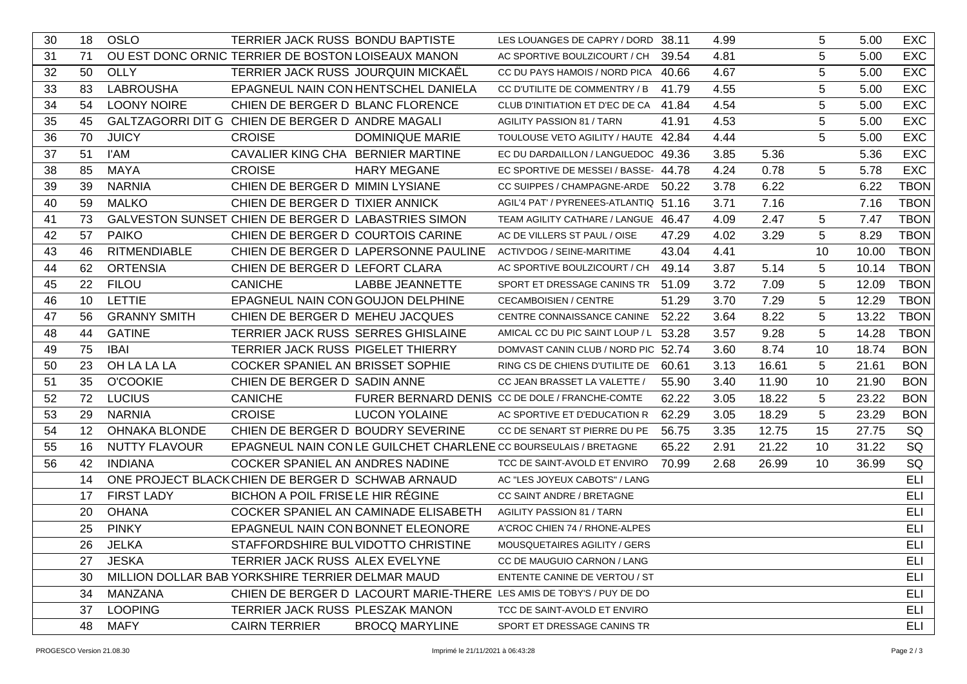| 30 | 18              | <b>OSLO</b>          | TERRIER JACK RUSS BONDU BAPTISTE                    |                                      | LES LOUANGES DE CAPRY / DORD 38.11                                   |       | 4.99 |       | 5          | 5.00  | <b>EXC</b>  |
|----|-----------------|----------------------|-----------------------------------------------------|--------------------------------------|----------------------------------------------------------------------|-------|------|-------|------------|-------|-------------|
| 31 | 71              |                      | OU EST DONC ORNIC TERRIER DE BOSTON LOISEAUX MANON  |                                      | AC SPORTIVE BOULZICOURT / CH                                         | 39.54 | 4.81 |       | 5          | 5.00  | <b>EXC</b>  |
| 32 | 50              | <b>OLLY</b>          | TERRIER JACK RUSS JOURQUIN MICKAËL                  |                                      | CC DU PAYS HAMOIS / NORD PICA 40.66                                  |       | 4.67 |       | $\sqrt{5}$ | 5.00  | <b>EXC</b>  |
| 33 | 83              | <b>LABROUSHA</b>     |                                                     | EPAGNEUL NAIN CON HENTSCHEL DANIELA  | CC D'UTILITE DE COMMENTRY / B                                        | 41.79 | 4.55 |       | 5          | 5.00  | EXC         |
| 34 | 54              | <b>LOONY NOIRE</b>   | CHIEN DE BERGER D BLANC FLORENCE                    |                                      | CLUB D'INITIATION ET D'EC DE CA                                      | 41.84 | 4.54 |       | 5          | 5.00  | <b>EXC</b>  |
| 35 | 45              |                      | GALTZAGORRI DIT G CHIEN DE BERGER D ANDRE MAGALI    |                                      | <b>AGILITY PASSION 81 / TARN</b>                                     | 41.91 | 4.53 |       | 5          | 5.00  | <b>EXC</b>  |
| 36 | 70              | <b>JUICY</b>         | <b>CROISE</b>                                       | <b>DOMINIQUE MARIE</b>               | TOULOUSE VETO AGILITY / HAUTE 42.84                                  |       | 4.44 |       | 5          | 5.00  | <b>EXC</b>  |
| 37 | 51              | <b>I'AM</b>          | CAVALIER KING CHA BERNIER MARTINE                   |                                      | EC DU DARDAILLON / LANGUEDOC 49.36                                   |       | 3.85 | 5.36  |            | 5.36  | <b>EXC</b>  |
| 38 | 85              | <b>MAYA</b>          | <b>CROISE</b>                                       | <b>HARY MEGANE</b>                   | EC SPORTIVE DE MESSEI / BASSE- 44.78                                 |       | 4.24 | 0.78  | 5          | 5.78  | <b>EXC</b>  |
| 39 | 39              | <b>NARNIA</b>        | CHIEN DE BERGER D MIMIN LYSIANE                     |                                      | CC SUIPPES / CHAMPAGNE-ARDE                                          | 50.22 | 3.78 | 6.22  |            | 6.22  | <b>TBON</b> |
| 40 | 59              | <b>MALKO</b>         | CHIEN DE BERGER D TIXIER ANNICK                     |                                      | AGIL'4 PAT' / PYRENEES-ATLANTIQ 51.16                                |       | 3.71 | 7.16  |            | 7.16  | <b>TBON</b> |
| 41 | 73              |                      | GALVESTON SUNSET CHIEN DE BERGER D LABASTRIES SIMON |                                      | TEAM AGILITY CATHARE / LANGUE 46.47                                  |       | 4.09 | 2.47  | 5          | 7.47  | <b>TBON</b> |
| 42 | 57              | <b>PAIKO</b>         | CHIEN DE BERGER D COURTOIS CARINE                   |                                      | AC DE VILLERS ST PAUL / OISE                                         | 47.29 | 4.02 | 3.29  | 5          | 8.29  | <b>TBON</b> |
| 43 | 46              | <b>RITMENDIABLE</b>  |                                                     | CHIEN DE BERGER D LAPERSONNE PAULINE | ACTIV'DOG / SEINE-MARITIME                                           | 43.04 | 4.41 |       | 10         | 10.00 | <b>TBON</b> |
| 44 | 62              | <b>ORTENSIA</b>      | CHIEN DE BERGER D LEFORT CLARA                      |                                      | AC SPORTIVE BOULZICOURT / CH                                         | 49.14 | 3.87 | 5.14  | 5          | 10.14 | <b>TBON</b> |
| 45 | 22              | <b>FILOU</b>         | <b>CANICHE</b>                                      | <b>LABBE JEANNETTE</b>               | SPORT ET DRESSAGE CANINS TR                                          | 51.09 | 3.72 | 7.09  | 5          | 12.09 | <b>TBON</b> |
| 46 | 10              | LETTIE               | EPAGNEUL NAIN CON GOUJON DELPHINE                   |                                      | <b>CECAMBOISIEN / CENTRE</b>                                         | 51.29 | 3.70 | 7.29  | 5          | 12.29 | <b>TBON</b> |
| 47 | 56              | <b>GRANNY SMITH</b>  | CHIEN DE BERGER D MEHEU JACQUES                     |                                      | CENTRE CONNAISSANCE CANINE                                           | 52.22 | 3.64 | 8.22  | 5          | 13.22 | <b>TBON</b> |
| 48 | 44              | <b>GATINE</b>        | TERRIER JACK RUSS SERRES GHISLAINE                  |                                      | AMICAL CC DU PIC SAINT LOUP / L                                      | 53.28 | 3.57 | 9.28  | 5          | 14.28 | <b>TBON</b> |
| 49 | 75              | <b>IBAI</b>          | <b>TERRIER JACK RUSS PIGELET THIERRY</b>            |                                      | DOMVAST CANIN CLUB / NORD PIC 52.74                                  |       | 3.60 | 8.74  | 10         | 18.74 | <b>BON</b>  |
| 50 | 23              | OH LA LA LA          | COCKER SPANIEL AN BRISSET SOPHIE                    |                                      | RING CS DE CHIENS D'UTILITE DE                                       | 60.61 | 3.13 | 16.61 | 5          | 21.61 | <b>BON</b>  |
| 51 | 35              | <b>O'COOKIE</b>      | CHIEN DE BERGER D SADIN ANNE                        |                                      | CC JEAN BRASSET LA VALETTE /                                         | 55.90 | 3.40 | 11.90 | 10         | 21.90 | <b>BON</b>  |
| 52 | 72              | <b>LUCIUS</b>        | <b>CANICHE</b>                                      |                                      | FURER BERNARD DENIS CC DE DOLE / FRANCHE-COMTE                       | 62.22 | 3.05 | 18.22 | 5          | 23.22 | <b>BON</b>  |
| 53 | 29              | <b>NARNIA</b>        | <b>CROISE</b>                                       | <b>LUCON YOLAINE</b>                 | AC SPORTIVE ET D'EDUCATION R                                         | 62.29 | 3.05 | 18.29 | 5          | 23.29 | <b>BON</b>  |
| 54 | 12 <sup>2</sup> | <b>OHNAKA BLONDE</b> | CHIEN DE BERGER D BOUDRY SEVERINE                   |                                      | CC DE SENART ST PIERRE DU PE                                         | 56.75 | 3.35 | 12.75 | 15         | 27.75 | SQ          |
| 55 | 16              | <b>NUTTY FLAVOUR</b> |                                                     |                                      | EPAGNEUL NAIN CON LE GUILCHET CHARLENE CC BOURSEULAIS / BRETAGNE     | 65.22 | 2.91 | 21.22 | 10         | 31.22 | SQ          |
| 56 | 42              | <b>INDIANA</b>       | COCKER SPANIEL AN ANDRES NADINE                     |                                      | TCC DE SAINT-AVOLD ET ENVIRO                                         | 70.99 | 2.68 | 26.99 | 10         | 36.99 | SQ          |
|    | 14              |                      | ONE PROJECT BLACK CHIEN DE BERGER D SCHWAB ARNAUD   |                                      | AC "LES JOYEUX CABOTS" / LANG                                        |       |      |       |            |       | <b>ELI</b>  |
|    | 17              | <b>FIRST LADY</b>    | BICHON A POIL FRISE LE HIR RÉGINE                   |                                      | CC SAINT ANDRE / BRETAGNE                                            |       |      |       |            |       | ELI         |
|    | 20              | <b>OHANA</b>         |                                                     | COCKER SPANIEL AN CAMINADE ELISABETH | <b>AGILITY PASSION 81 / TARN</b>                                     |       |      |       |            |       | <b>ELI</b>  |
|    | 25              | <b>PINKY</b>         | EPAGNEUL NAIN CON BONNET ELEONORE                   |                                      | A'CROC CHIEN 74 / RHONE-ALPES                                        |       |      |       |            |       | <b>ELI</b>  |
|    | 26              | JELKA                | STAFFORDSHIRE BULVIDOTTO CHRISTINE                  |                                      | MOUSQUETAIRES AGILITY / GERS                                         |       |      |       |            |       | ELI         |
|    | 27              | JESKA                | TERRIER JACK RUSS ALEX EVELYNE                      |                                      | CC DE MAUGUIO CARNON / LANG                                          |       |      |       |            |       | <b>ELI</b>  |
|    | 30              |                      | MILLION DOLLAR BAB YORKSHIRE TERRIER DELMAR MAUD    |                                      | ENTENTE CANINE DE VERTOU / ST                                        |       |      |       |            |       | ELI         |
|    | 34              | MANZANA              |                                                     |                                      | CHIEN DE BERGER D LACOURT MARIE-THERE LES AMIS DE TOBY'S / PUY DE DO |       |      |       |            |       | ELI         |
|    | 37              | <b>LOOPING</b>       | TERRIER JACK RUSS PLESZAK MANON                     |                                      | TCC DE SAINT-AVOLD ET ENVIRO                                         |       |      |       |            |       | ELI         |
|    | 48              | <b>MAFY</b>          | <b>CAIRN TERRIER</b>                                | <b>BROCQ MARYLINE</b>                | SPORT ET DRESSAGE CANINS TR                                          |       |      |       |            |       | ELI         |